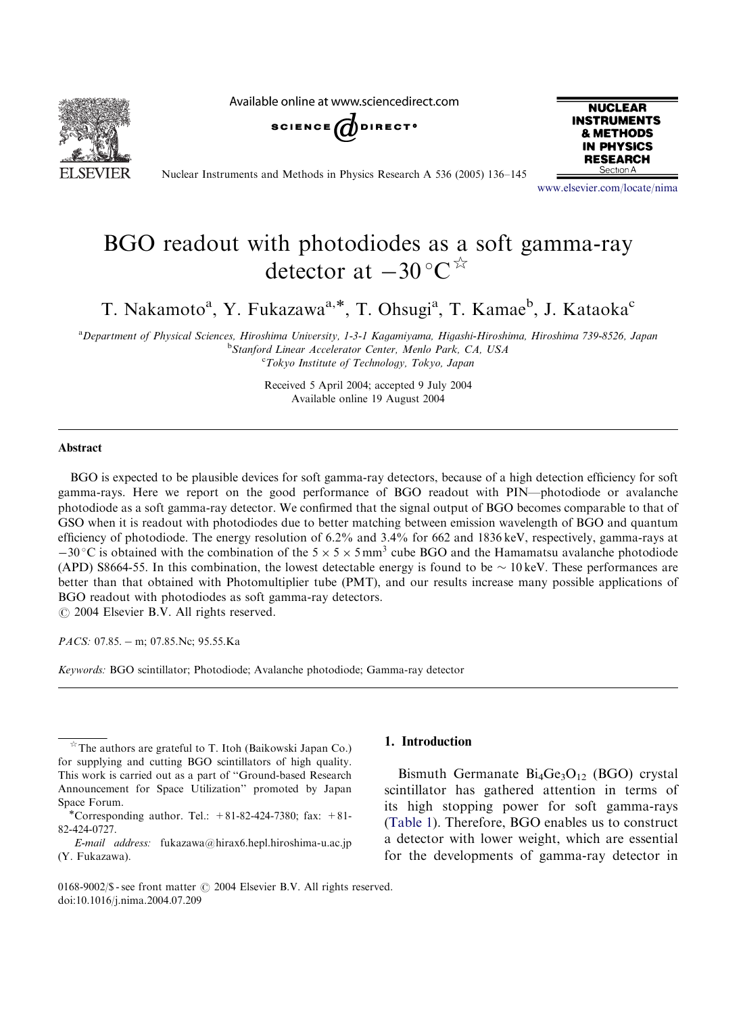

Available online at www.sciencedirect.com





Nuclear Instruments and Methods in Physics Research A 536 (2005) 136–145

<www.elsevier.com/locate/nima>

# BGO readout with photodiodes as a soft gamma-ray detector at  $-30$  °C<sup>\*</sup>

T. Nakamoto<sup>a</sup>, Y. Fukazawa<sup>a,\*</sup>, T. Ohsugi<sup>a</sup>, T. Kamae<sup>b</sup>, J. Kataoka<sup>c</sup>

a Department of Physical Sciences, Hiroshima University, 1-3-1 Kagamiyama, Higashi-Hiroshima, Hiroshima 739-8526, Japan <sup>b</sup>Stanford Linear Accelerator Center, Menlo Park, CA, USA <sup>c</sup>Tokyo Institute of Technology, Tokyo, Japan

> Received 5 April 2004; accepted 9 July 2004 Available online 19 August 2004

#### Abstract

BGO is expected to be plausible devices for soft gamma-ray detectors, because of a high detection efficiency for soft gamma-rays. Here we report on the good performance of BGO readout with PIN—photodiode or avalanche photodiode as a soft gamma-ray detector. We confirmed that the signal output of BGO becomes comparable to that of GSO when it is readout with photodiodes due to better matching between emission wavelength of BGO and quantum efficiency of photodiode. The energy resolution of 6.2% and 3.4% for 662 and 1836 keV, respectively, gamma-rays at  $-30$  °C is obtained with the combination of the 5  $\times$  5  $\times$  5 mm<sup>3</sup> cube BGO and the Hamamatsu avalanche photodiode (APD) S8664-55. In this combination, the lowest detectable energy is found to be  $\sim 10 \,\text{keV}$ . These performances are better than that obtained with Photomultiplier tube (PMT), and our results increase many possible applications of BGO readout with photodiodes as soft gamma-ray detectors.  $\odot$  2004 Elsevier B.V. All rights reserved.

PACS: 07.85. - m; 07.85. Nc; 95.55. Ka

Keywords: BGO scintillator; Photodiode; Avalanche photodiode; Gamma-ray detector

# 1. Introduction

Bismuth Germanate  $Bi_4Ge_3O_{12}$  (BGO) crystal scintillator has gathered attention in terms of its high stopping power for soft gamma-rays ([Table 1](#page-1-0)). Therefore, BGO enables us to construct a detector with lower weight, which are essential for the developments of gamma-ray detector in

 $\hat{X}$ The authors are grateful to T. Itoh (Baikowski Japan Co.) for supplying and cutting BGO scintillators of high quality. This work is carried out as a part of ''Ground-based Research Announcement for Space Utilization'' promoted by Japan Space Forum.<br>\*Corresponding author. Tel.:  $+81-82-424-7380$ ; fax:  $+81-$ 

<sup>82-424-0727.</sup>

E-mail address: fukazawa@hirax6.hepl.hiroshima-u.ac.jp (Y. Fukazawa).

<sup>0168-9002/\$ -</sup> see front matter  $\odot$  2004 Elsevier B.V. All rights reserved. doi:10.1016/j.nima.2004.07.209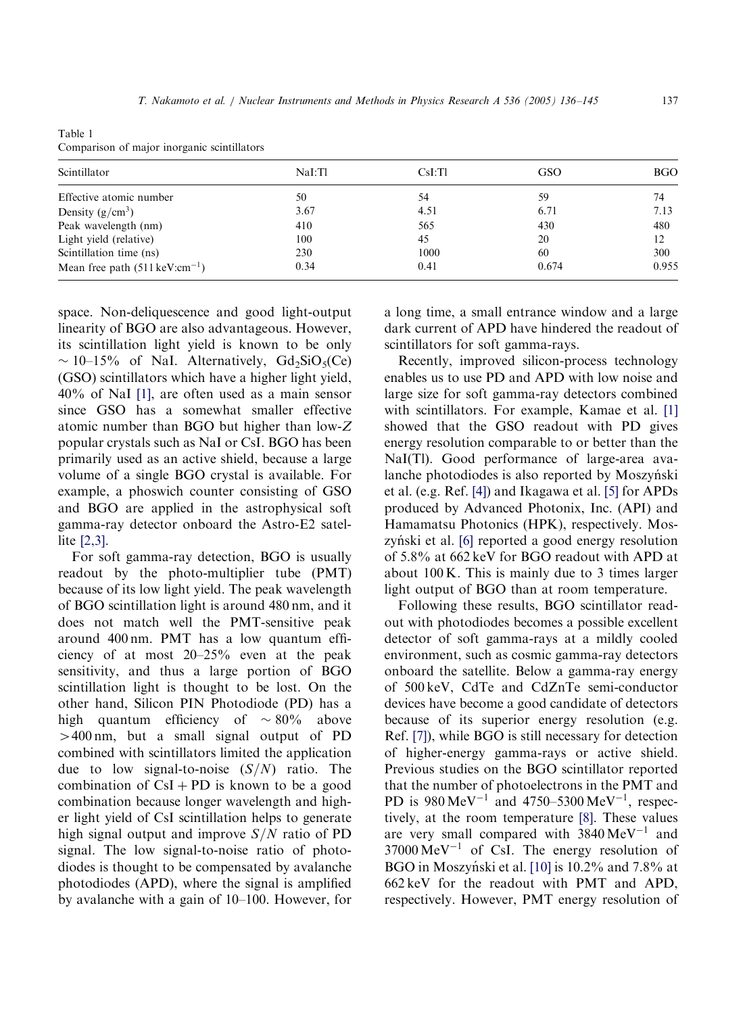<span id="page-1-0"></span>Table 1 Comparison of major inorganic scintillators

| Scintillator                                | NaI:Tl | CsI:TI | GSO   | <b>BGO</b> |
|---------------------------------------------|--------|--------|-------|------------|
| Effective atomic number                     | 50     | 54     | 59    | 74         |
| Density $(g/cm^3)$                          | 3.67   | 4.51   | 6.71  | 7.13       |
| Peak wavelength (nm)                        | 410    | 565    | 430   | 480        |
| Light yield (relative)                      | 100    | 45     | 20    | 12         |
| Scintillation time (ns)                     | 230    | 1000   | 60    | 300        |
| Mean free path $(511 \,\text{keV:cm}^{-1})$ | 0.34   | 0.41   | 0.674 | 0.955      |

space. Non-deliquescence and good light-output linearity of BGO are also advantageous. However, its scintillation light yield is known to be only  $\sim 10$ –15% of NaI. Alternatively, Gd<sub>2</sub>SiO<sub>5</sub>(Ce) (GSO) scintillators which have a higher light yield, 40% of NaI [\[1\],](#page-9-0) are often used as a main sensor since GSO has a somewhat smaller effective atomic number than BGO but higher than low-Z popular crystals such as NaI or CsI. BGO has been primarily used as an active shield, because a large volume of a single BGO crystal is available. For example, a phoswich counter consisting of GSO and BGO are applied in the astrophysical soft gamma-ray detector onboard the Astro-E2 satellite [\[2,3\]](#page-9-0).

For soft gamma-ray detection, BGO is usually readout by the photo-multiplier tube (PMT) because of its low light yield. The peak wavelength of BGO scintillation light is around 480 nm, and it does not match well the PMT-sensitive peak around 400 nm. PMT has a low quantum efficiency of at most 20–25% even at the peak sensitivity, and thus a large portion of BGO scintillation light is thought to be lost. On the other hand, Silicon PIN Photodiode (PD) has a high quantum efficiency of  $\sim 80\%$  above  $>400 \text{ nm}$ , but a small signal output of PD combined with scintillators limited the application due to low signal-to-noise  $(S/N)$  ratio. The combination of  $CsI + PD$  is known to be a good combination because longer wavelength and higher light yield of CsI scintillation helps to generate high signal output and improve  $S/N$  ratio of PD signal. The low signal-to-noise ratio of photodiodes is thought to be compensated by avalanche photodiodes (APD), where the signal is amplified by avalanche with a gain of 10–100. However, for a long time, a small entrance window and a large dark current of APD have hindered the readout of scintillators for soft gamma-rays.

Recently, improved silicon-process technology enables us to use PD and APD with low noise and large size for soft gamma-ray detectors combined with scintillators. For example, Kamae et al. [\[1\]](#page-9-0) showed that the GSO readout with PD gives energy resolution comparable to or better than the NaI(Tl). Good performance of large-area avalanche photodiodes is also reported by Moszyński et al. (e.g. Ref. [\[4\]](#page-9-0)) and Ikagawa et al. [\[5\]](#page-9-0) for APDs produced by Advanced Photonix, Inc. (API) and Hamamatsu Photonics (HPK), respectively. Mos-zyński et al. [\[6\]](#page-9-0) reported a good energy resolution of 5.8% at 662 keV for BGO readout with APD at about 100 K. This is mainly due to 3 times larger light output of BGO than at room temperature.

Following these results, BGO scintillator readout with photodiodes becomes a possible excellent detector of soft gamma-rays at a mildly cooled environment, such as cosmic gamma-ray detectors onboard the satellite. Below a gamma-ray energy of 500 keV, CdTe and CdZnTe semi-conductor devices have become a good candidate of detectors because of its superior energy resolution (e.g. Ref. [\[7\]\)](#page-9-0), while BGO is still necessary for detection of higher-energy gamma-rays or active shield. Previous studies on the BGO scintillator reported that the number of photoelectrons in the PMT and PD is  $980 \,\text{MeV}^{-1}$  and  $4750 - 5300 \,\text{MeV}^{-1}$ , respectively, at the room temperature [\[8\].](#page-9-0) These values are very small compared with  $3840 \,\text{MeV}^{-1}$  and  $37000 \,\text{MeV}^{-1}$  of CsI. The energy resolution of BGO in Moszyński et al. [\[10\]](#page-9-0) is 10.2% and 7.8% at 662 keV for the readout with PMT and APD, respectively. However, PMT energy resolution of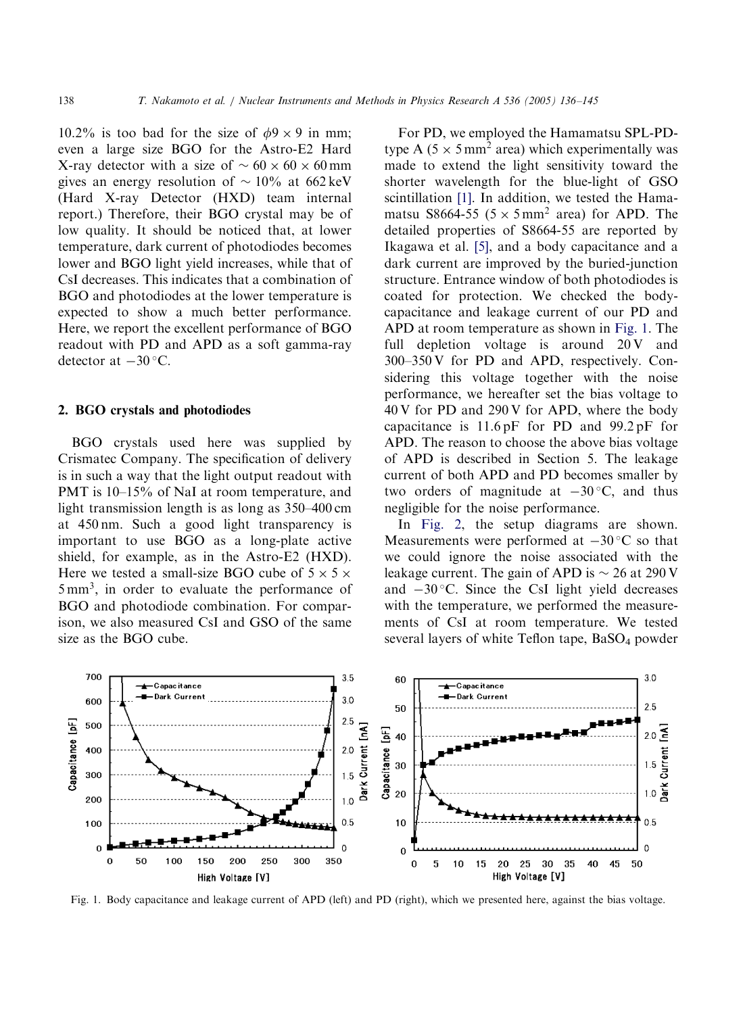10.2% is too bad for the size of  $\phi$ 9 × 9 in mm; even a large size BGO for the Astro-E2 Hard X-ray detector with a size of  $\sim 60 \times 60 \times 60$  mm gives an energy resolution of  $\sim 10\%$  at 662 keV (Hard X-ray Detector (HXD) team internal report.) Therefore, their BGO crystal may be of low quality. It should be noticed that, at lower temperature, dark current of photodiodes becomes lower and BGO light yield increases, while that of CsI decreases. This indicates that a combination of BGO and photodiodes at the lower temperature is expected to show a much better performance. Here, we report the excellent performance of BGO readout with PD and APD as a soft gamma-ray detector at  $-30$  °C.

#### 2. BGO crystals and photodiodes

BGO crystals used here was supplied by Crismatec Company. The specification of delivery is in such a way that the light output readout with PMT is 10–15% of NaI at room temperature, and light transmission length is as long as 350–400 cm at 450 nm. Such a good light transparency is important to use BGO as a long-plate active shield, for example, as in the Astro-E2 (HXD). Here we tested a small-size BGO cube of  $5 \times 5 \times$ 5 mm<sup>3</sup>; in order to evaluate the performance of BGO and photodiode combination. For comparison, we also measured CsI and GSO of the same size as the BGO cube.

For PD, we employed the Hamamatsu SPL-PDtype A ( $5 \times 5$  mm<sup>2</sup> area) which experimentally was made to extend the light sensitivity toward the shorter wavelength for the blue-light of GSO scintillation [\[1\].](#page-9-0) In addition, we tested the Hamamatsu S8664-55 ( $5 \times 5$  mm<sup>2</sup> area) for APD. The detailed properties of S8664-55 are reported by Ikagawa et al. [\[5\]](#page-9-0), and a body capacitance and a dark current are improved by the buried-junction structure. Entrance window of both photodiodes is coated for protection. We checked the bodycapacitance and leakage current of our PD and APD at room temperature as shown in Fig. 1. The full depletion voltage is around  $20V$  and 300–350 V for PD and APD, respectively. Considering this voltage together with the noise performance, we hereafter set the bias voltage to 40 V for PD and 290 V for APD, where the body capacitance is 11.6 pF for PD and 99.2 pF for APD. The reason to choose the above bias voltage of APD is described in Section 5. The leakage current of both APD and PD becomes smaller by two orders of magnitude at  $-30$  °C, and thus negligible for the noise performance.

In [Fig. 2](#page-3-0), the setup diagrams are shown. Measurements were performed at  $-30^{\circ}$ C so that we could ignore the noise associated with the leakage current. The gain of APD is  $\sim$  26 at 290 V and  $-30$  °C. Since the CsI light yield decreases with the temperature, we performed the measurements of CsI at room temperature. We tested several layers of white Teflon tape,  $BaSO<sub>4</sub>$  powder



Fig. 1. Body capacitance and leakage current of APD (left) and PD (right), which we presented here, against the bias voltage.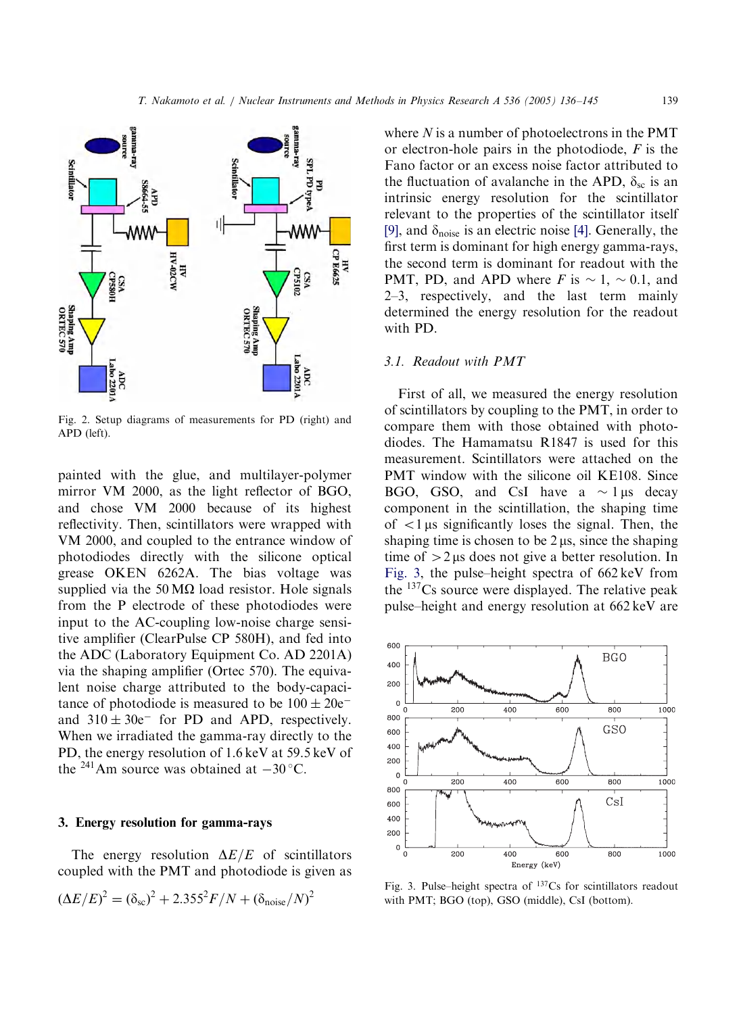<span id="page-3-0"></span>

Fig. 2. Setup diagrams of measurements for PD (right) and APD (left).

painted with the glue, and multilayer-polymer mirror VM 2000, as the light reflector of BGO, and chose VM 2000 because of its highest reflectivity. Then, scintillators were wrapped with VM 2000, and coupled to the entrance window of photodiodes directly with the silicone optical grease OKEN 6262A. The bias voltage was supplied via the 50  $\text{M}\Omega$  load resistor. Hole signals from the P electrode of these photodiodes were input to the AC-coupling low-noise charge sensitive amplifier (ClearPulse CP 580H), and fed into the ADC (Laboratory Equipment Co. AD 2201A) via the shaping amplifier (Ortec 570). The equivalent noise charge attributed to the body-capacitance of photodiode is measured to be  $100 \pm 20e^$ and  $310 \pm 30e^-$  for PD and APD, respectively. When we irradiated the gamma-ray directly to the PD, the energy resolution of 1.6 keV at 59.5 keV of the <sup>241</sup>Am source was obtained at  $-30$  °C.

## 3. Energy resolution for gamma-rays

The energy resolution  $\Delta E/E$  of scintillators coupled with the PMT and photodiode is given as

$$
(\Delta E/E)^{2} = (\delta_{\rm sc})^{2} + 2.355^{2} F/N + (\delta_{\rm noise}/N)^{2}
$$

where  $N$  is a number of photoelectrons in the PMT or electron-hole pairs in the photodiode,  $F$  is the Fano factor or an excess noise factor attributed to the fluctuation of avalanche in the APD,  $\delta_{\rm sc}$  is an intrinsic energy resolution for the scintillator relevant to the properties of the scintillator itself [\[9\]](#page-9-0), and  $\delta_{\text{noise}}$  is an electric noise [\[4\].](#page-9-0) Generally, the first term is dominant for high energy gamma-rays, the second term is dominant for readout with the PMT, PD, and APD where F is  $\sim 1, \sim 0.1$ , and 2–3, respectively, and the last term mainly determined the energy resolution for the readout with PD.

### 3.1. Readout with PMT

First of all, we measured the energy resolution of scintillators by coupling to the PMT, in order to compare them with those obtained with photodiodes. The Hamamatsu R1847 is used for this measurement. Scintillators were attached on the PMT window with the silicone oil KE108. Since BGO, GSO, and CsI have a  $\sim$  1 µs decay component in the scintillation, the shaping time of  $\langle 1 \rangle$  as significantly loses the signal. Then, the shaping time is chosen to be  $2 \mu s$ , since the shaping time of  $>2 \mu s$  does not give a better resolution. In Fig. 3, the pulse–height spectra of 662 keV from the  $137Cs$  source were displayed. The relative peak pulse–height and energy resolution at 662 keV are



Fig. 3. Pulse–height spectra of 137Cs for scintillators readout with PMT; BGO (top), GSO (middle), CsI (bottom).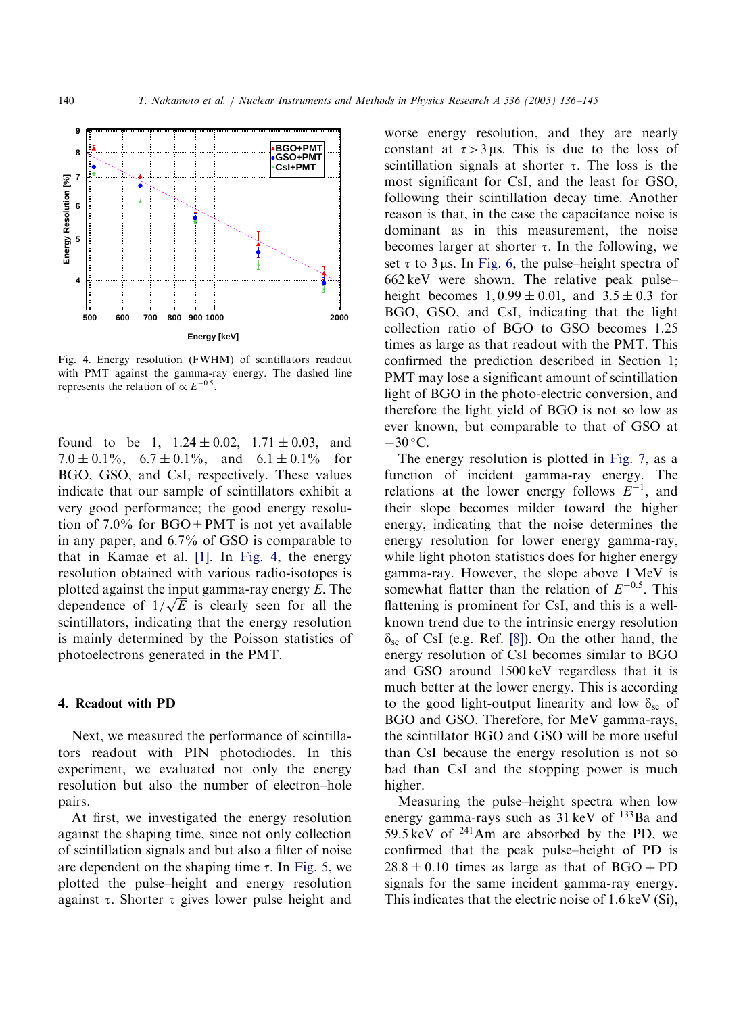

Fig. 4. Energy resolution (FWHM) of scintillators readout with PMT against the gamma-ray energy. The dashed line represents the relation of  $\propto E^{-0.5}$ .

found to be 1,  $1.24 \pm 0.02$ ,  $1.71 \pm 0.03$ , and 7.0  $\pm$  0.1%, 6.7  $\pm$  0.1%, and 6.1  $\pm$  0.1% for BGO, GSO, and CsI, respectively. These values indicate that our sample of scintillators exhibit a very good performance; the good energy resolution of 7.0% for BGO+PMT is not yet available in any paper, and 6.7% of GSO is comparable to that in Kamae et al. [\[1\]](#page-9-0). In Fig. 4, the energy resolution obtained with various radio-isotopes is plotted against the input gamma-ray energy E. The plotted against the input gamma-ray energy E. The dependence of  $1/\sqrt{E}$  is clearly seen for all the scintillators, indicating that the energy resolution is mainly determined by the Poisson statistics of photoelectrons generated in the PMT.

### 4. Readout with PD

Next, we measured the performance of scintillators readout with PIN photodiodes. In this experiment, we evaluated not only the energy resolution but also the number of electron–hole pairs.

At first, we investigated the energy resolution against the shaping time, since not only collection of scintillation signals and but also a filter of noise are dependent on the shaping time  $\tau$ . In [Fig. 5](#page-5-0), we plotted the pulse–height and energy resolution against  $\tau$ . Shorter  $\tau$  gives lower pulse height and

worse energy resolution, and they are nearly constant at  $\tau > 3 \mu s$ . This is due to the loss of scintillation signals at shorter  $\tau$ . The loss is the most significant for CsI, and the least for GSO, following their scintillation decay time. Another reason is that, in the case the capacitance noise is dominant as in this measurement, the noise becomes larger at shorter  $\tau$ . In the following, we set  $\tau$  to 3 µs. In [Fig. 6,](#page-5-0) the pulse–height spectra of 662 keV were shown. The relative peak pulse– height becomes  $1,0.99 \pm 0.01$ , and  $3.5 \pm 0.3$  for BGO, GSO, and CsI, indicating that the light collection ratio of BGO to GSO becomes 1.25 times as large as that readout with the PMT. This confirmed the prediction described in Section 1; PMT may lose a significant amount of scintillation light of BGO in the photo-electric conversion, and therefore the light yield of BGO is not so low as ever known, but comparable to that of GSO at  $-30$  °C.

The energy resolution is plotted in [Fig. 7,](#page-5-0) as a function of incident gamma-ray energy. The relations at the lower energy follows  $E^{-1}$ , and their slope becomes milder toward the higher energy, indicating that the noise determines the energy resolution for lower energy gamma-ray, while light photon statistics does for higher energy gamma-ray. However, the slope above 1 MeV is somewhat flatter than the relation of  $E^{-0.5}$ . This flattening is prominent for CsI, and this is a wellknown trend due to the intrinsic energy resolution  $\delta_{\rm sc}$  of CsI (e.g. Ref. [\[8\]\)](#page-9-0). On the other hand, the energy resolution of CsI becomes similar to BGO and GSO around 1500 keV regardless that it is much better at the lower energy. This is according to the good light-output linearity and low  $\delta_{\rm sc}$  of BGO and GSO. Therefore, for MeV gamma-rays, the scintillator BGO and GSO will be more useful than CsI because the energy resolution is not so bad than CsI and the stopping power is much higher.

Measuring the pulse–height spectra when low energy gamma-rays such as 31 keV of <sup>133</sup>Ba and 59.5 keV of  $241$ Am are absorbed by the PD, we confirmed that the peak pulse–height of PD is  $28.8 \pm 0.10$  times as large as that of BGO + PD signals for the same incident gamma-ray energy. This indicates that the electric noise of 1.6 keV (Si),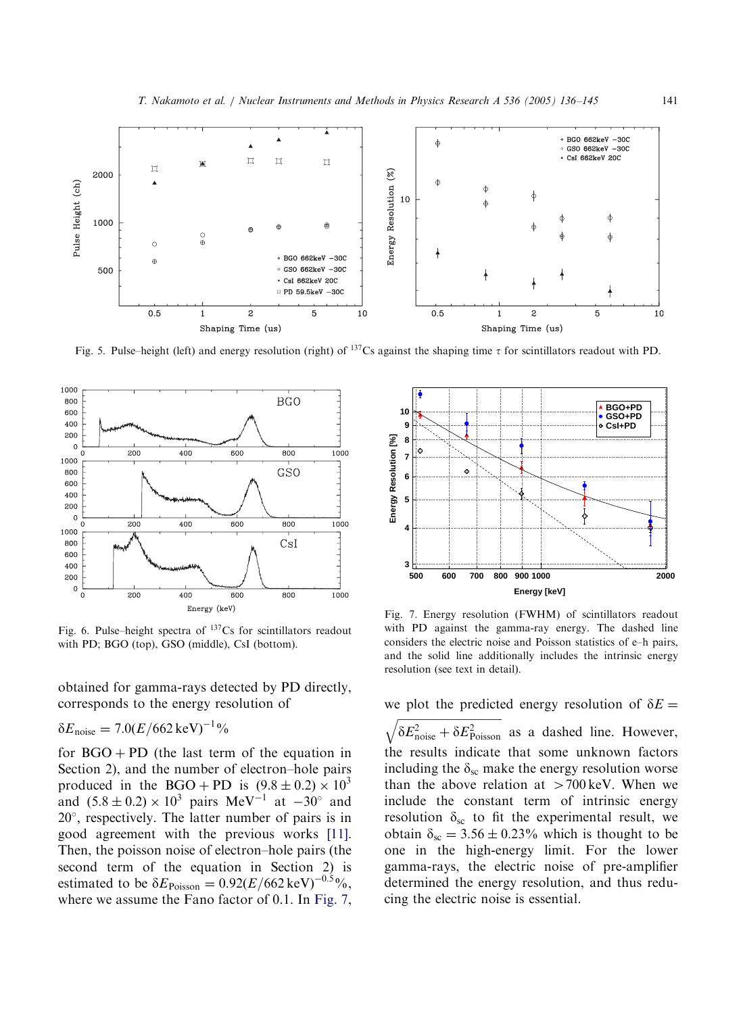<span id="page-5-0"></span>

Fig. 5. Pulse–height (left) and energy resolution (right) of <sup>137</sup>Cs against the shaping time  $\tau$  for scintillators readout with PD.



Fig. 6. Pulse–height spectra of  $137Cs$  for scintillators readout with PD; BGO (top), GSO (middle), CsI (bottom).

obtained for gamma-rays detected by PD directly, corresponds to the energy resolution of

$$
\delta E_{\text{noise}} = 7.0 (E/662 \,\text{keV})^{-1} \%
$$

for  $BGO + PD$  (the last term of the equation in Section 2), and the number of electron–hole pairs produced in the BGO + PD is  $(9.8 \pm 0.2) \times 10^3$ and  $(5.8 \pm 0.2) \times 10^3$  pairs MeV<sup>-1</sup> at  $-30^{\circ}$  and 20°, respectively. The latter number of pairs is in good agreement with the previous works [\[11\]](#page-9-0). Then, the poisson noise of electron–hole pairs (the second term of the equation in Section 2) is estimated to be  $\delta E_{\text{Poisson}} = 0.92 (E/662 \,\text{keV})^{-0.5}$ %, where we assume the Fano factor of 0.1. In Fig. 7,



Fig. 7. Energy resolution (FWHM) of scintillators readout with PD against the gamma-ray energy. The dashed line considers the electric noise and Poisson statistics of e–h pairs, and the solid line additionally includes the intrinsic energy resolution (see text in detail).

we plot the predicted energy resolution of  $\delta E =$ 

 $\frac{1}{\sqrt{2}}$  $\sqrt{\delta E_{\text{noise}}^2 + \delta E_{\text{Poisson}}^2}$  as a dashed line. However, the results indicate that some unknown factors including the  $\delta_{\rm sc}$  make the energy resolution worse than the above relation at  $>700$  keV. When we include the constant term of intrinsic energy resolution  $\delta_{sc}$  to fit the experimental result, we obtain  $\delta_{\rm sc} = 3.56 \pm 0.23\%$  which is thought to be one in the high-energy limit. For the lower gamma-rays, the electric noise of pre-amplifier determined the energy resolution, and thus reducing the electric noise is essential.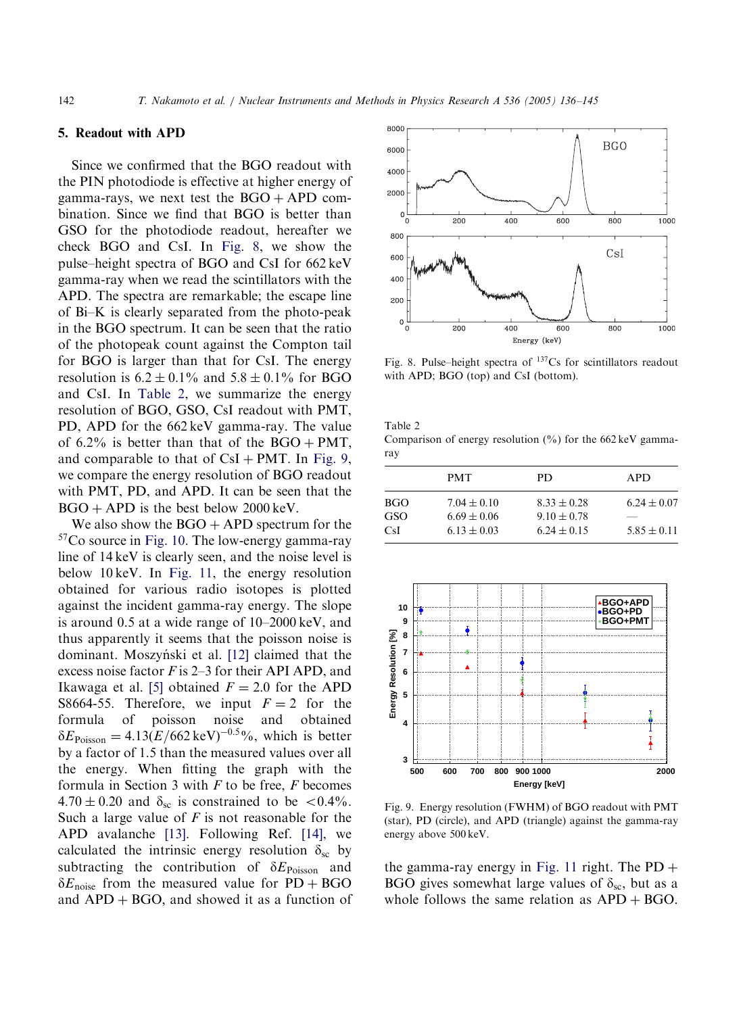## 5. Readout with APD

Since we confirmed that the BGO readout with the PIN photodiode is effective at higher energy of gamma-rays, we next test the  $BGO + APD$  combination. Since we find that BGO is better than GSO for the photodiode readout, hereafter we check BGO and CsI. In Fig. 8, we show the pulse–height spectra of BGO and CsI for 662 keV gamma-ray when we read the scintillators with the APD. The spectra are remarkable; the escape line of Bi–K is clearly separated from the photo-peak in the BGO spectrum. It can be seen that the ratio of the photopeak count against the Compton tail for BGO is larger than that for CsI. The energy resolution is  $6.2 \pm 0.1\%$  and  $5.8 \pm 0.1\%$  for BGO and CsI. In Table 2, we summarize the energy resolution of BGO, GSO, CsI readout with PMT, PD, APD for the 662 keV gamma-ray. The value of 6.2% is better than that of the  $BGO + PMT$ , and comparable to that of  $CsI + PMT$ . In Fig. 9, we compare the energy resolution of BGO readout with PMT, PD, and APD. It can be seen that the  $BGO + APD$  is the best below 2000 keV.

We also show the  $BGO + APD$  spectrum for the 57Co source in [Fig. 10.](#page-7-0) The low-energy gamma-ray line of 14 keV is clearly seen, and the noise level is below 10 keV. In [Fig. 11,](#page-7-0) the energy resolution obtained for various radio isotopes is plotted against the incident gamma-ray energy. The slope is around 0.5 at a wide range of 10–2000 keV, and thus apparently it seems that the poisson noise is dominant. Moszyński et al. [\[12\]](#page-9-0) claimed that the excess noise factor  $F$  is 2–3 for their API APD, and Ikawaga et al. [\[5\]](#page-9-0) obtained  $F = 2.0$  for the APD S8664-55. Therefore, we input  $F = 2$  for the formula of poisson noise and obtained  $\delta E_{\text{Poisson}} = 4.13 \left( E/662 \,\text{keV} \right)^{-0.5}$ %, which is better by a factor of 1.5 than the measured values over all the energy. When fitting the graph with the formula in Section 3 with  $F$  to be free,  $F$  becomes  $4.70 \pm 0.20$  and  $\delta_{\rm sc}$  is constrained to be <0.4%. Such a large value of  $F$  is not reasonable for the APD avalanche [\[13\]](#page-9-0). Following Ref. [\[14\],](#page-9-0) we calculated the intrinsic energy resolution  $\delta_{\rm sc}$  by subtracting the contribution of  $\delta E_{\text{Poisson}}$  and  $\delta E_{\text{noise}}$  from the measured value for PD + BGO and  $APD + BGO$ , and showed it as a function of



Fig. 8. Pulse–height spectra of 137Cs for scintillators readout with APD; BGO (top) and CsI (bottom).

Table 2

Comparison of energy resolution  $(\%)$  for the 662 keV gammaray

|                           | <b>PMT</b>                                            | PD                                                    | APD.                               |
|---------------------------|-------------------------------------------------------|-------------------------------------------------------|------------------------------------|
| BGO.<br>GSO<br><b>CsI</b> | $7.04 \pm 0.10$<br>$6.69 \pm 0.06$<br>$6.13 \pm 0.03$ | $8.33 \pm 0.28$<br>$9.10 \pm 0.78$<br>$6.24 \pm 0.15$ | $6.24 \pm 0.07$<br>$5.85 \pm 0.11$ |



Fig. 9. Energy resolution (FWHM) of BGO readout with PMT (star), PD (circle), and APD (triangle) against the gamma-ray energy above 500 keV.

the gamma-ray energy in [Fig. 11](#page-7-0) right. The  $PD +$ BGO gives somewhat large values of  $\delta_{\rm sc}$ , but as a whole follows the same relation as  $APD + BGO$ .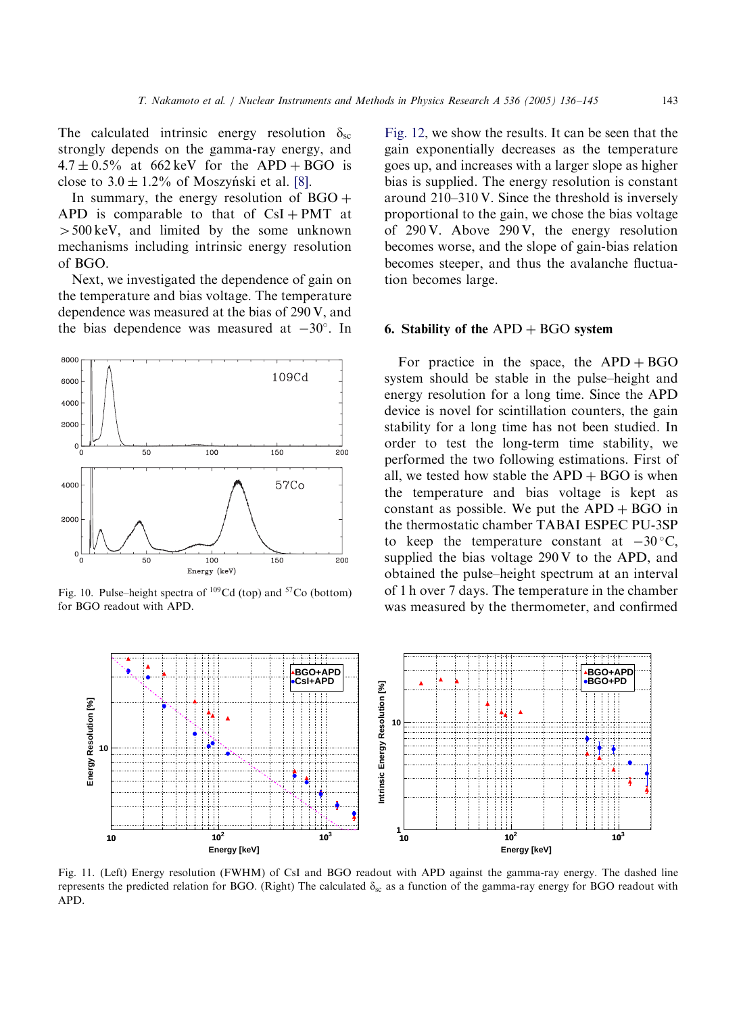<span id="page-7-0"></span>The calculated intrinsic energy resolution  $\delta_{\rm sc}$ strongly depends on the gamma-ray energy, and  $4.7 \pm 0.5\%$  at 662 keV for the APD + BGO is close to  $3.0 \pm 1.2\%$  of Moszyński et al. [\[8\]](#page-9-0).

In summary, the energy resolution of  $BGO +$ APD is comparable to that of  $CsI + PMT$  at  $>500 \,\text{keV}$ , and limited by the some unknown mechanisms including intrinsic energy resolution of BGO.

Next, we investigated the dependence of gain on the temperature and bias voltage. The temperature dependence was measured at the bias of 290 V, and the bias dependence was measured at  $-30^{\circ}$ . In



Fig. 10. Pulse–height spectra of 109Cd (top) and 57Co (bottom) for BGO readout with APD.

[Fig. 12](#page-8-0), we show the results. It can be seen that the gain exponentially decreases as the temperature goes up, and increases with a larger slope as higher bias is supplied. The energy resolution is constant around 210–310 V. Since the threshold is inversely proportional to the gain, we chose the bias voltage of 290 V. Above 290 V, the energy resolution becomes worse, and the slope of gain-bias relation becomes steeper, and thus the avalanche fluctuation becomes large.

#### 6. Stability of the  $APD + BGO$  system

For practice in the space, the  $APD + BGO$ system should be stable in the pulse–height and energy resolution for a long time. Since the APD device is novel for scintillation counters, the gain stability for a long time has not been studied. In order to test the long-term time stability, we performed the two following estimations. First of all, we tested how stable the  $APD + BGO$  is when the temperature and bias voltage is kept as constant as possible. We put the  $APD + BGO$  in the thermostatic chamber TABAI ESPEC PU-3SP to keep the temperature constant at  $-30^{\circ}$ C, supplied the bias voltage 290 V to the APD, and obtained the pulse–height spectrum at an interval of 1 h over 7 days. The temperature in the chamber was measured by the thermometer, and confirmed



Fig. 11. (Left) Energy resolution (FWHM) of CsI and BGO readout with APD against the gamma-ray energy. The dashed line represents the predicted relation for BGO. (Right) The calculated  $\delta_{sc}$  as a function of the gamma-ray energy for BGO readout with APD.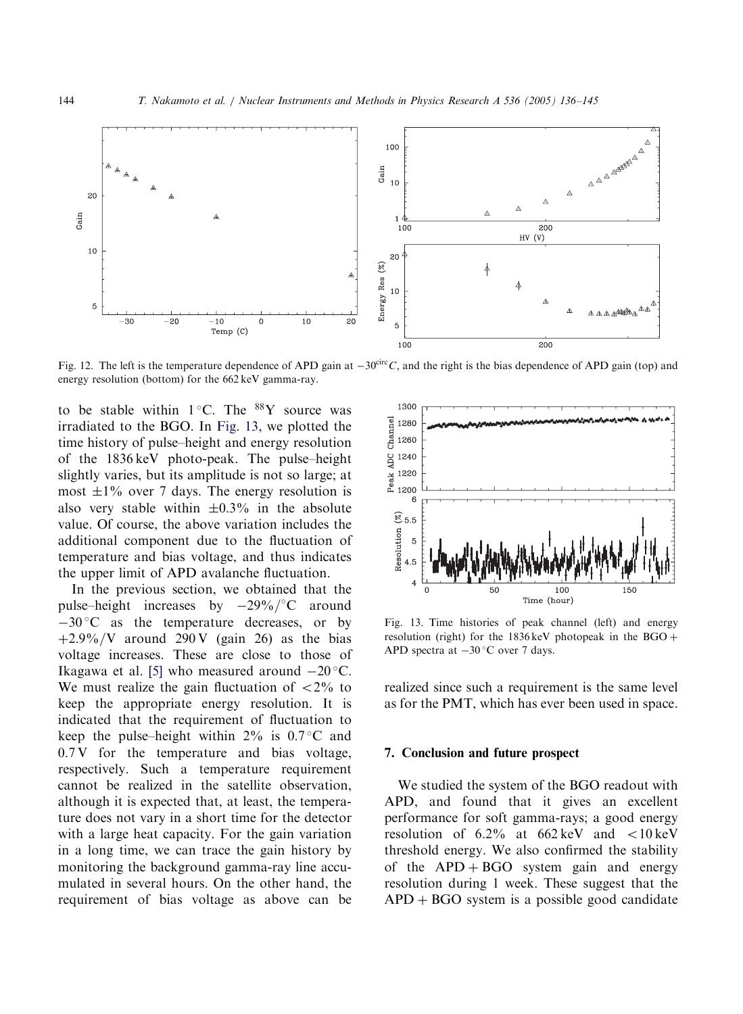<span id="page-8-0"></span>

Fig. 12. The left is the temperature dependence of APD gain at  $-30^{\text{circ}}C$ , and the right is the bias dependence of APD gain (top) and energy resolution (bottom) for the 662 keV gamma-ray.

to be stable within  $1^{\circ}$ C. The <sup>88</sup>Y source was irradiated to the BGO. In Fig. 13, we plotted the time history of pulse–height and energy resolution of the 1836 keV photo-peak. The pulse–height slightly varies, but its amplitude is not so large; at most  $\pm 1\%$  over 7 days. The energy resolution is also very stable within  $\pm 0.3\%$  in the absolute value. Of course, the above variation includes the additional component due to the fluctuation of temperature and bias voltage, and thus indicates the upper limit of APD avalanche fluctuation.

In the previous section, we obtained that the pulse–height increases by  $-29\%$   $\degree$ C around  $-30$  °C as the temperature decreases, or by  $+2.9\% / V$  around 290 V (gain 26) as the bias voltage increases. These are close to those of Ikagawa et al. [\[5\]](#page-9-0) who measured around  $-20^{\circ}$ C. We must realize the gain fluctuation of  $\langle 2\%$  to keep the appropriate energy resolution. It is indicated that the requirement of fluctuation to keep the pulse–height within  $2\%$  is 0.7 °C and  $0.7 \,$ V for the temperature and bias voltage, respectively. Such a temperature requirement cannot be realized in the satellite observation, although it is expected that, at least, the temperature does not vary in a short time for the detector with a large heat capacity. For the gain variation in a long time, we can trace the gain history by monitoring the background gamma-ray line accumulated in several hours. On the other hand, the requirement of bias voltage as above can be



Fig. 13. Time histories of peak channel (left) and energy resolution (right) for the  $1836 \,\text{keV}$  photopeak in the BGO  $+$ APD spectra at  $-30$  °C over 7 days.

realized since such a requirement is the same level as for the PMT, which has ever been used in space.

#### 7. Conclusion and future prospect

We studied the system of the BGO readout with APD, and found that it gives an excellent performance for soft gamma-rays; a good energy resolution of  $6.2\%$  at  $662 \text{ keV}$  and  $\lt 10 \text{ keV}$ threshold energy. We also confirmed the stability of the  $APD + BGO$  system gain and energy resolution during 1 week. These suggest that the  $APD + BGO$  system is a possible good candidate